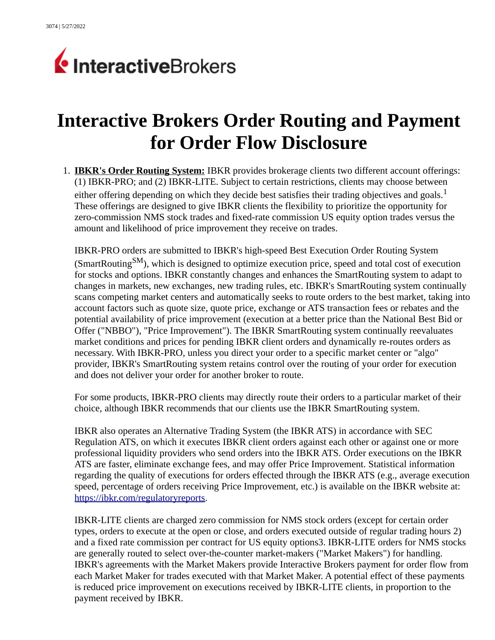

## **Interactive Brokers Order Routing and Payment for Order Flow Disclosure**

1. **IBKR's Order Routing System:** IBKR provides brokerage clients two different account offerings: (1) IBKR-PRO; and (2) IBKR-LITE. Subject to certain restrictions, clients may choose between either offering depending on which they decide best satisfies their trading objectives and goals.<sup>1</sup> These offerings are designed to give IBKR clients the flexibility to prioritize the opportunity for zero-commission NMS stock trades and fixed-rate commission US equity option trades versus the amount and likelihood of price improvement they receive on trades.

IBKR-PRO orders are submitted to IBKR's high-speed Best Execution Order Routing System (SmartRouting<sup>SM</sup>), which is designed to optimize execution price, speed and total cost of execution for stocks and options. IBKR constantly changes and enhances the SmartRouting system to adapt to changes in markets, new exchanges, new trading rules, etc. IBKR's SmartRouting system continually scans competing market centers and automatically seeks to route orders to the best market, taking into account factors such as quote size, quote price, exchange or ATS transaction fees or rebates and the potential availability of price improvement (execution at a better price than the National Best Bid or Offer ("NBBO"), "Price Improvement"). The IBKR SmartRouting system continually reevaluates market conditions and prices for pending IBKR client orders and dynamically re-routes orders as necessary. With IBKR-PRO, unless you direct your order to a specific market center or "algo" provider, IBKR's SmartRouting system retains control over the routing of your order for execution and does not deliver your order for another broker to route.

For some products, IBKR-PRO clients may directly route their orders to a particular market of their choice, although IBKR recommends that our clients use the IBKR SmartRouting system.

IBKR also operates an Alternative Trading System (the IBKR ATS) in accordance with SEC Regulation ATS, on which it executes IBKR client orders against each other or against one or more professional liquidity providers who send orders into the IBKR ATS. Order executions on the IBKR ATS are faster, eliminate exchange fees, and may offer Price Improvement. Statistical information regarding the quality of executions for orders effected through the IBKR ATS (e.g., average execution speed, percentage of orders receiving Price Improvement, etc.) is available on the IBKR website at: [https://ibkr.com/regulatoryreports.](https://ibkr.com/regulatoryreports)

IBKR-LITE clients are charged zero commission for NMS stock orders (except for certain order types, orders to execute at the open or close, and orders executed outside of regular trading hours 2) and a fixed rate commission per contract for US equity options3. IBKR-LITE orders for NMS stocks are generally routed to select over-the-counter market-makers ("Market Makers") for handling. IBKR's agreements with the Market Makers provide Interactive Brokers payment for order flow from each Market Maker for trades executed with that Market Maker. A potential effect of these payments is reduced price improvement on executions received by IBKR-LITE clients, in proportion to the payment received by IBKR.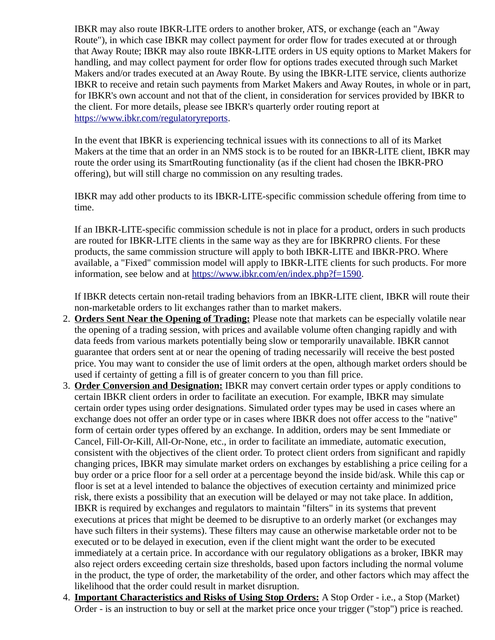IBKR may also route IBKR-LITE orders to another broker, ATS, or exchange (each an "Away Route"), in which case IBKR may collect payment for order flow for trades executed at or through that Away Route; IBKR may also route IBKR-LITE orders in US equity options to Market Makers for handling, and may collect payment for order flow for options trades executed through such Market Makers and/or trades executed at an Away Route. By using the IBKR-LITE service, clients authorize IBKR to receive and retain such payments from Market Makers and Away Routes, in whole or in part, for IBKR's own account and not that of the client, in consideration for services provided by IBKR to the client. For more details, please see IBKR's quarterly order routing report at [https://www.ibkr.com/regulatoryreports.](https://www.ibkr.com/regulatoryreports)

In the event that IBKR is experiencing technical issues with its connections to all of its Market Makers at the time that an order in an NMS stock is to be routed for an IBKR-LITE client, IBKR may route the order using its SmartRouting functionality (as if the client had chosen the IBKR-PRO offering), but will still charge no commission on any resulting trades.

IBKR may add other products to its IBKR-LITE-specific commission schedule offering from time to time.

If an IBKR-LITE-specific commission schedule is not in place for a product, orders in such products are routed for IBKR-LITE clients in the same way as they are for IBKRPRO clients. For these products, the same commission structure will apply to both IBKR-LITE and IBKR-PRO. Where available, a "Fixed" commission model will apply to IBKR-LITE clients for such products. For more information, see below and at [https://www.ibkr.com/en/index.php?f=1590.](https://www.ibkr.com/en/index.php?f=1590)

If IBKR detects certain non-retail trading behaviors from an IBKR-LITE client, IBKR will route their non-marketable orders to lit exchanges rather than to market makers.

- 2. **Orders Sent Near the Opening of Trading:** Please note that markets can be especially volatile near the opening of a trading session, with prices and available volume often changing rapidly and with data feeds from various markets potentially being slow or temporarily unavailable. IBKR cannot guarantee that orders sent at or near the opening of trading necessarily will receive the best posted price. You may want to consider the use of limit orders at the open, although market orders should be used if certainty of getting a fill is of greater concern to you than fill price.
- 3. **Order Conversion and Designation:** IBKR may convert certain order types or apply conditions to certain IBKR client orders in order to facilitate an execution. For example, IBKR may simulate certain order types using order designations. Simulated order types may be used in cases where an exchange does not offer an order type or in cases where IBKR does not offer access to the "native" form of certain order types offered by an exchange. In addition, orders may be sent Immediate or Cancel, Fill-Or-Kill, All-Or-None, etc., in order to facilitate an immediate, automatic execution, consistent with the objectives of the client order. To protect client orders from significant and rapidly changing prices, IBKR may simulate market orders on exchanges by establishing a price ceiling for a buy order or a price floor for a sell order at a percentage beyond the inside bid/ask. While this cap or floor is set at a level intended to balance the objectives of execution certainty and minimized price risk, there exists a possibility that an execution will be delayed or may not take place. In addition, IBKR is required by exchanges and regulators to maintain "filters" in its systems that prevent executions at prices that might be deemed to be disruptive to an orderly market (or exchanges may have such filters in their systems). These filters may cause an otherwise marketable order not to be executed or to be delayed in execution, even if the client might want the order to be executed immediately at a certain price. In accordance with our regulatory obligations as a broker, IBKR may also reject orders exceeding certain size thresholds, based upon factors including the normal volume in the product, the type of order, the marketability of the order, and other factors which may affect the likelihood that the order could result in market disruption.
- 4. **Important Characteristics and Risks of Using Stop Orders:** A Stop Order i.e., a Stop (Market) Order - is an instruction to buy or sell at the market price once your trigger ("stop") price is reached.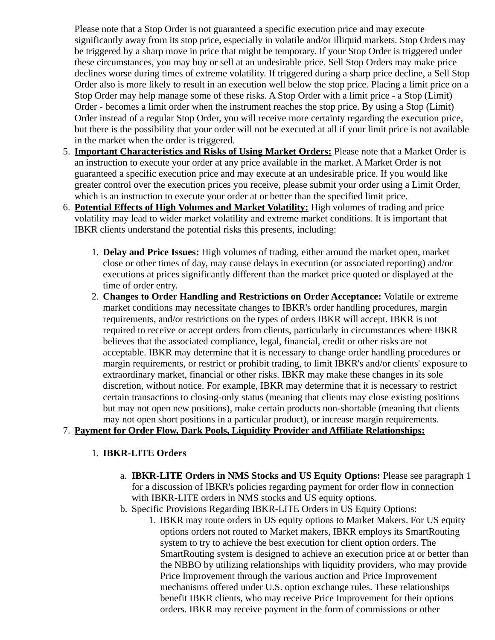Please note that a Stop Order is not guaranteed a specific execution price and may execute significantly away from its stop price, especially in volatile and/or illiquid markets. Stop Orders may be triggered by a sharp move in price that might be temporary. If your Stop Order is triggered under these circumstances, you may buy or sell at an undesirable price. Sell Stop Orders may make price declines worse during times of extreme volatility. If triggered during a sharp price decline, a Sell Stop Order also is more likely to result in an execution well below the stop price. Placing a limit price on a Stop Order may help manage some of these risks. A Stop Order with a limit price - a Stop (Limit) Order - becomes a limit order when the instrument reaches the stop price. By using a Stop (Limit) Order instead of a regular Stop Order, you will receive more certainty regarding the execution price, but there is the possibility that your order will not be executed at all if your limit price is not available in the market when the order is triggered.

- 5. **Important Characteristics and Risks of Using Market Orders:** Please note that a Market Order is an instruction to execute your order at any price available in the market. A Market Order is not guaranteed a specific execution price and may execute at an undesirable price. If you would like greater control over the execution prices you receive, please submit your order using a Limit Order, which is an instruction to execute your order at or better than the specified limit price.
- 6. **Potential Effects of High Volumes and Market Volatility:** High volumes of trading and price volatility may lead to wider market volatility and extreme market conditions. It is important that IBKR clients understand the potential risks this presents, including:
	- 1. **Delay and Price Issues:** High volumes of trading, either around the market open, market close or other times of day, may cause delays in execution (or associated reporting) and/or executions at prices significantly different than the market price quoted or displayed at the time of order entry.
	- 2. **Changes to Order Handling and Restrictions on Order Acceptance:** Volatile or extreme market conditions may necessitate changes to IBKR's order handling procedures, margin requirements, and/or restrictions on the types of orders IBKR will accept. IBKR is not required to receive or accept orders from clients, particularly in circumstances where IBKR believes that the associated compliance, legal, financial, credit or other risks are not acceptable. IBKR may determine that it is necessary to change order handling procedures or margin requirements, or restrict or prohibit trading, to limit IBKR's and/or clients' exposure to extraordinary market, financial or other risks. IBKR may make these changes in its sole discretion, without notice. For example, IBKR may determine that it is necessary to restrict certain transactions to closing-only status (meaning that clients may close existing positions but may not open new positions), make certain products non-shortable (meaning that clients may not open short positions in a particular product), or increase margin requirements.

## 7. **Payment for Order Flow, Dark Pools, Liquidity Provider and Affiliate Relationships:**

## 1. **IBKR-LITE Orders**

- a. **IBKR-LITE Orders in NMS Stocks and US Equity Options:** Please see paragraph 1 for a discussion of IBKR's policies regarding payment for order flow in connection with IBKR-LITE orders in NMS stocks and US equity options.
- b. Specific Provisions Regarding IBKR-LITE Orders in US Equity Options:
	- 1. IBKR may route orders in US equity options to Market Makers. For US equity options orders not routed to Market makers, IBKR employs its SmartRouting system to try to achieve the best execution for client option orders. The SmartRouting system is designed to achieve an execution price at or better than the NBBO by utilizing relationships with liquidity providers, who may provide Price Improvement through the various auction and Price Improvement mechanisms offered under U.S. option exchange rules. These relationships benefit IBKR clients, who may receive Price Improvement for their options orders. IBKR may receive payment in the form of commissions or other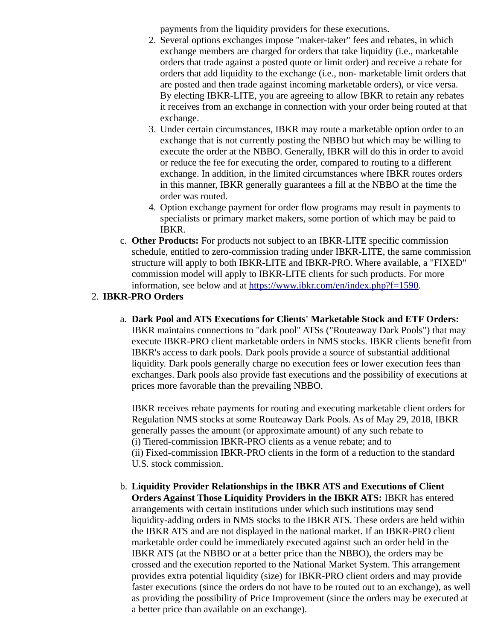payments from the liquidity providers for these executions.

- 2. Several options exchanges impose "maker-taker" fees and rebates, in which exchange members are charged for orders that take liquidity (i.e., marketable orders that trade against a posted quote or limit order) and receive a rebate for orders that add liquidity to the exchange (i.e., non- marketable limit orders that are posted and then trade against incoming marketable orders), or vice versa. By electing IBKR-LITE, you are agreeing to allow IBKR to retain any rebates it receives from an exchange in connection with your order being routed at that exchange.
- 3. Under certain circumstances, IBKR may route a marketable option order to an exchange that is not currently posting the NBBO but which may be willing to execute the order at the NBBO. Generally, IBKR will do this in order to avoid or reduce the fee for executing the order, compared to routing to a different exchange. In addition, in the limited circumstances where IBKR routes orders in this manner, IBKR generally guarantees a fill at the NBBO at the time the order was routed.
- 4. Option exchange payment for order flow programs may result in payments to specialists or primary market makers, some portion of which may be paid to IBKR.
- c. **Other Products:** For products not subject to an IBKR-LITE specific commission schedule, entitled to zero-commission trading under IBKR-LITE, the same commission structure will apply to both IBKR-LITE and IBKR-PRO. Where available, a "FIXED" commission model will apply to IBKR-LITE clients for such products. For more information, see below and at [https://www.ibkr.com/en/index.php?f=1590.](https://www.ibkr.com/en/index.php?f=1590)

## 2. **IBKR-PRO Orders**

a. **Dark Pool and ATS Executions for Clients' Marketable Stock and ETF Orders:**  IBKR maintains connections to "dark pool" ATSs ("Routeaway Dark Pools") that may execute IBKR-PRO client marketable orders in NMS stocks. IBKR clients benefit from IBKR's access to dark pools. Dark pools provide a source of substantial additional liquidity. Dark pools generally charge no execution fees or lower execution fees than exchanges. Dark pools also provide fast executions and the possibility of executions at prices more favorable than the prevailing NBBO.

IBKR receives rebate payments for routing and executing marketable client orders for Regulation NMS stocks at some Routeaway Dark Pools. As of May 29, 2018, IBKR generally passes the amount (or approximate amount) of any such rebate to (i) Tiered-commission IBKR-PRO clients as a venue rebate; and to (ii) Fixed-commission IBKR-PRO clients in the form of a reduction to the standard U.S. stock commission.

b. **Liquidity Provider Relationships in the IBKR ATS and Executions of Client Orders Against Those Liquidity Providers in the IBKR ATS:** IBKR has entered arrangements with certain institutions under which such institutions may send liquidity-adding orders in NMS stocks to the IBKR ATS. These orders are held within the IBKR ATS and are not displayed in the national market. If an IBKR-PRO client marketable order could be immediately executed against such an order held in the IBKR ATS (at the NBBO or at a better price than the NBBO), the orders may be crossed and the execution reported to the National Market System. This arrangement provides extra potential liquidity (size) for IBKR-PRO client orders and may provide faster executions (since the orders do not have to be routed out to an exchange), as well as providing the possibility of Price Improvement (since the orders may be executed at a better price than available on an exchange).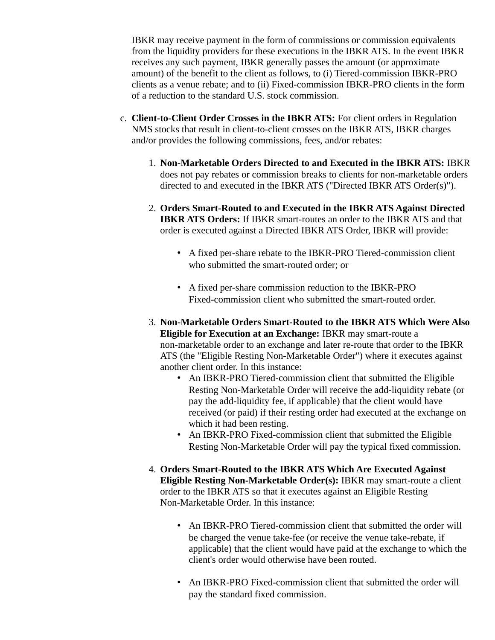IBKR may receive payment in the form of commissions or commission equivalents from the liquidity providers for these executions in the IBKR ATS. In the event IBKR receives any such payment, IBKR generally passes the amount (or approximate amount) of the benefit to the client as follows, to (i) Tiered-commission IBKR-PRO clients as a venue rebate; and to (ii) Fixed-commission IBKR-PRO clients in the form of a reduction to the standard U.S. stock commission.

- c. **Client-to-Client Order Crosses in the IBKR ATS:** For client orders in Regulation NMS stocks that result in client-to-client crosses on the IBKR ATS, IBKR charges and/or provides the following commissions, fees, and/or rebates:
	- 1. **Non-Marketable Orders Directed to and Executed in the IBKR ATS:** IBKR does not pay rebates or commission breaks to clients for non-marketable orders directed to and executed in the IBKR ATS ("Directed IBKR ATS Order(s)").
	- 2. **Orders Smart-Routed to and Executed in the IBKR ATS Against Directed IBKR ATS Orders:** If IBKR smart-routes an order to the IBKR ATS and that order is executed against a Directed IBKR ATS Order, IBKR will provide:
		- A fixed per-share rebate to the IBKR-PRO Tiered-commission client who submitted the smart-routed order; or
		- A fixed per-share commission reduction to the IBKR-PRO Fixed-commission client who submitted the smart-routed order.
	- 3. **Non-Marketable Orders Smart-Routed to the IBKR ATS Which Were Also Eligible for Execution at an Exchange:** IBKR may smart-route a non-marketable order to an exchange and later re-route that order to the IBKR ATS (the "Eligible Resting Non-Marketable Order") where it executes against another client order. In this instance:
		- An IBKR-PRO Tiered-commission client that submitted the Eligible Resting Non-Marketable Order will receive the add-liquidity rebate (or pay the add-liquidity fee, if applicable) that the client would have received (or paid) if their resting order had executed at the exchange on which it had been resting.
		- An IBKR-PRO Fixed-commission client that submitted the Eligible Resting Non-Marketable Order will pay the typical fixed commission.
	- 4. **Orders Smart-Routed to the IBKR ATS Which Are Executed Against Eligible Resting Non-Marketable Order(s):** IBKR may smart-route a client order to the IBKR ATS so that it executes against an Eligible Resting Non-Marketable Order. In this instance:
		- An IBKR-PRO Tiered-commission client that submitted the order will be charged the venue take-fee (or receive the venue take-rebate, if applicable) that the client would have paid at the exchange to which the client's order would otherwise have been routed.
		- An IBKR-PRO Fixed-commission client that submitted the order will pay the standard fixed commission.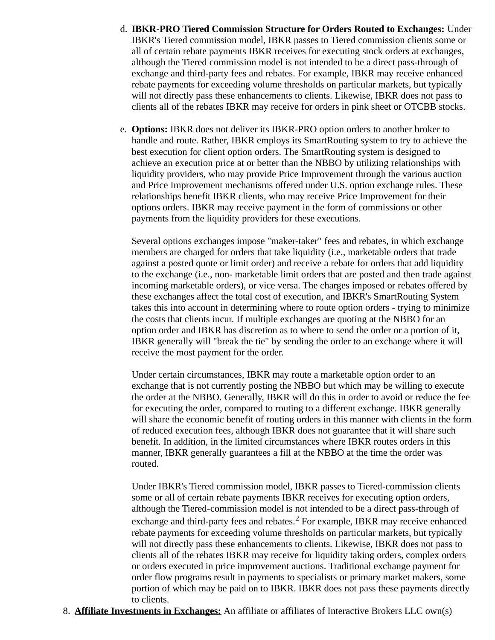- d. **IBKR-PRO Tiered Commission Structure for Orders Routed to Exchanges:** Under IBKR's Tiered commission model, IBKR passes to Tiered commission clients some or all of certain rebate payments IBKR receives for executing stock orders at exchanges, although the Tiered commission model is not intended to be a direct pass-through of exchange and third-party fees and rebates. For example, IBKR may receive enhanced rebate payments for exceeding volume thresholds on particular markets, but typically will not directly pass these enhancements to clients. Likewise, IBKR does not pass to clients all of the rebates IBKR may receive for orders in pink sheet or OTCBB stocks.
- e. **Options:** IBKR does not deliver its IBKR-PRO option orders to another broker to handle and route. Rather, IBKR employs its SmartRouting system to try to achieve the best execution for client option orders. The SmartRouting system is designed to achieve an execution price at or better than the NBBO by utilizing relationships with liquidity providers, who may provide Price Improvement through the various auction and Price Improvement mechanisms offered under U.S. option exchange rules. These relationships benefit IBKR clients, who may receive Price Improvement for their options orders. IBKR may receive payment in the form of commissions or other payments from the liquidity providers for these executions.

Several options exchanges impose "maker-taker" fees and rebates, in which exchange members are charged for orders that take liquidity (i.e., marketable orders that trade against a posted quote or limit order) and receive a rebate for orders that add liquidity to the exchange (i.e., non- marketable limit orders that are posted and then trade against incoming marketable orders), or vice versa. The charges imposed or rebates offered by these exchanges affect the total cost of execution, and IBKR's SmartRouting System takes this into account in determining where to route option orders - trying to minimize the costs that clients incur. If multiple exchanges are quoting at the NBBO for an option order and IBKR has discretion as to where to send the order or a portion of it, IBKR generally will "break the tie" by sending the order to an exchange where it will receive the most payment for the order.

Under certain circumstances, IBKR may route a marketable option order to an exchange that is not currently posting the NBBO but which may be willing to execute the order at the NBBO. Generally, IBKR will do this in order to avoid or reduce the fee for executing the order, compared to routing to a different exchange. IBKR generally will share the economic benefit of routing orders in this manner with clients in the form of reduced execution fees, although IBKR does not guarantee that it will share such benefit. In addition, in the limited circumstances where IBKR routes orders in this manner, IBKR generally guarantees a fill at the NBBO at the time the order was routed.

Under IBKR's Tiered commission model, IBKR passes to Tiered-commission clients some or all of certain rebate payments IBKR receives for executing option orders, although the Tiered-commission model is not intended to be a direct pass-through of exchange and third-party fees and rebates.<sup>2</sup> For example, IBKR may receive enhanced rebate payments for exceeding volume thresholds on particular markets, but typically will not directly pass these enhancements to clients. Likewise, IBKR does not pass to clients all of the rebates IBKR may receive for liquidity taking orders, complex orders or orders executed in price improvement auctions. Traditional exchange payment for order flow programs result in payments to specialists or primary market makers, some portion of which may be paid on to IBKR. IBKR does not pass these payments directly to clients.

8. **Affiliate Investments in Exchanges:** An affiliate or affiliates of Interactive Brokers LLC own(s)